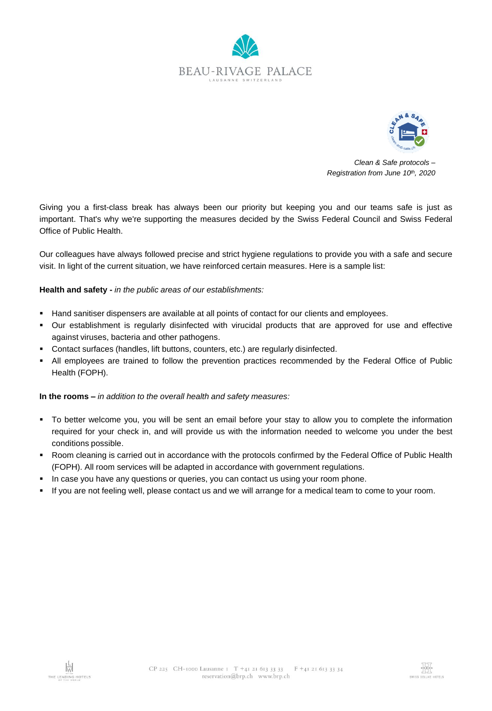



*Clean & Safe protocols – Registration from June 10th, 2020*

Giving you a first-class break has always been our priority but keeping you and our teams safe is just as important. That's why we're supporting the measures decided by the Swiss Federal Council and Swiss Federal Office of Public Health.

Our colleagues have always followed precise and strict hygiene regulations to provide you with a safe and secure visit. In light of the current situation, we have reinforced certain measures. Here is a sample list:

# **Health and safety -** *in the public areas of our establishments:*

- Hand sanitiser dispensers are available at all points of contact for our clients and employees.
- Our establishment is regularly disinfected with virucidal products that are approved for use and effective against viruses, bacteria and other pathogens.
- Contact surfaces (handles, lift buttons, counters, etc.) are regularly disinfected.
- All employees are trained to follow the prevention practices recommended by the Federal Office of Public Health (FOPH).

# **In the rooms –** *in addition to the overall health and safety measures:*

- To better welcome you, you will be sent an email before your stay to allow you to complete the information required for your check in, and will provide us with the information needed to welcome you under the best conditions possible.
- Room cleaning is carried out in accordance with the protocols confirmed by the Federal Office of Public Health (FOPH). All room services will be adapted in accordance with government regulations.
- In case you have any questions or queries, you can contact us using your room phone.
- If you are not feeling well, please contact us and we will arrange for a medical team to come to your room.